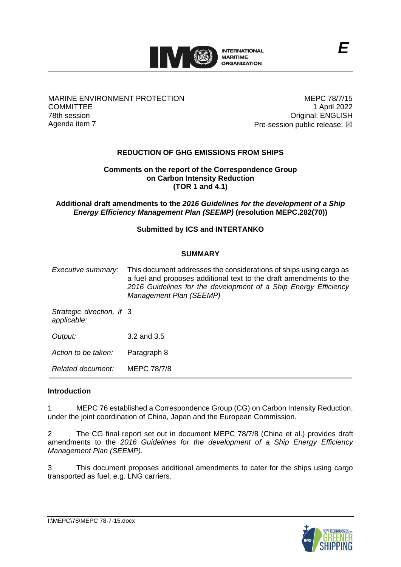

### MARINE ENVIRONMENT PROTECTION **COMMITTEE** 78th session Agenda item 7

MEPC 78/7/15 1 April 2022 Original: ENGLISH Pre-session public release:  $\boxtimes$ 

*E*

# **REDUCTION OF GHG EMISSIONS FROM SHIPS**

#### **Comments on the report of the Correspondence Group on Carbon Intensity Reduction (TOR 1 and 4.1)**

**Additional draft amendments to the** *2016 Guidelines for the development of a Ship Energy Efficiency Management Plan (SEEMP)* **(resolution MEPC.282(70))**

## **Submitted by ICS and INTERTANKO**

| SUMMARY                                  |                                                                                                                                                                                                                                        |
|------------------------------------------|----------------------------------------------------------------------------------------------------------------------------------------------------------------------------------------------------------------------------------------|
| Executive summary:                       | This document addresses the considerations of ships using cargo as<br>a fuel and proposes additional text to the draft amendments to the<br>2016 Guidelines for the development of a Ship Energy Efficiency<br>Management Plan (SEEMP) |
| Strategic direction, if 3<br>applicable: |                                                                                                                                                                                                                                        |
| Output:                                  | $3.2$ and $3.5$                                                                                                                                                                                                                        |
| Action to be taken:                      | Paragraph 8                                                                                                                                                                                                                            |
| Related document:                        | MEPC 78/7/8                                                                                                                                                                                                                            |

#### **Introduction**

1 MEPC 76 established a Correspondence Group (CG) on Carbon Intensity Reduction, under the joint coordination of China, Japan and the European Commission.

2 The CG final report set out in document MEPC 78/7/8 (China et al.) provides draft amendments to the *2016 Guidelines for the development of a Ship Energy Efficiency Management Plan (SEEMP)*.

3 This document proposes additional amendments to cater for the ships using cargo transported as fuel, e.g. LNG carriers.

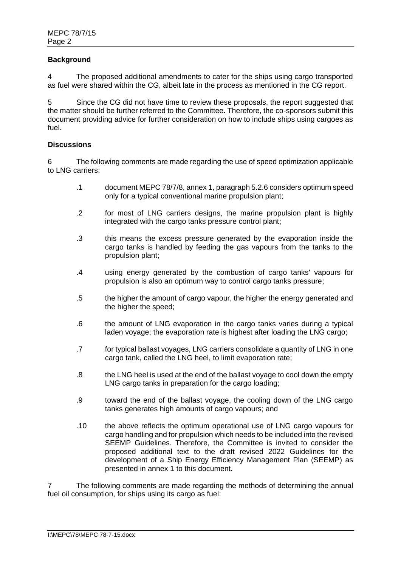### **Background**

4 The proposed additional amendments to cater for the ships using cargo transported as fuel were shared within the CG, albeit late in the process as mentioned in the CG report.

5 Since the CG did not have time to review these proposals, the report suggested that the matter should be further referred to the Committee. Therefore, the co-sponsors submit this document providing advice for further consideration on how to include ships using cargoes as fuel.

#### **Discussions**

6 The following comments are made regarding the use of speed optimization applicable to LNG carriers:

- .1 document MEPC 78/7/8, annex 1, paragraph 5.2.6 considers optimum speed only for a typical conventional marine propulsion plant;
- .2 for most of LNG carriers designs, the marine propulsion plant is highly integrated with the cargo tanks pressure control plant;
- .3 this means the excess pressure generated by the evaporation inside the cargo tanks is handled by feeding the gas vapours from the tanks to the propulsion plant;
- .4 using energy generated by the combustion of cargo tanks' vapours for propulsion is also an optimum way to control cargo tanks pressure;
- .5 the higher the amount of cargo vapour, the higher the energy generated and the higher the speed:
- .6 the amount of LNG evaporation in the cargo tanks varies during a typical laden voyage; the evaporation rate is highest after loading the LNG cargo;
- .7 for typical ballast voyages, LNG carriers consolidate a quantity of LNG in one cargo tank, called the LNG heel, to limit evaporation rate;
- .8 the LNG heel is used at the end of the ballast voyage to cool down the empty LNG cargo tanks in preparation for the cargo loading:
- .9 toward the end of the ballast voyage, the cooling down of the LNG cargo tanks generates high amounts of cargo vapours; and
- .10 the above reflects the optimum operational use of LNG cargo vapours for cargo handling and for propulsion which needs to be included into the revised SEEMP Guidelines. Therefore, the Committee is invited to consider the proposed additional text to the draft revised 2022 Guidelines for the development of a Ship Energy Efficiency Management Plan (SEEMP) as presented in annex 1 to this document.

7 The following comments are made regarding the methods of determining the annual fuel oil consumption, for ships using its cargo as fuel: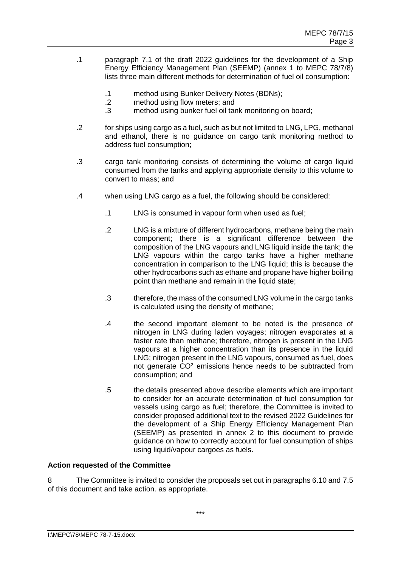- .1 paragraph 7.1 of the draft 2022 guidelines for the development of a Ship Energy Efficiency Management Plan (SEEMP) (annex 1 to MEPC 78/7/8) lists three main different methods for determination of fuel oil consumption:
	- .1 method using Bunker Delivery Notes (BDNs);
	- .2 method using flow meters; and
	- .3 method using bunker fuel oil tank monitoring on board;
- .2 for ships using cargo as a fuel, such as but not limited to LNG, LPG, methanol and ethanol, there is no guidance on cargo tank monitoring method to address fuel consumption;
- .3 cargo tank monitoring consists of determining the volume of cargo liquid consumed from the tanks and applying appropriate density to this volume to convert to mass; and
- .4 when using LNG cargo as a fuel, the following should be considered:
	- .1 LNG is consumed in vapour form when used as fuel;
	- .2 LNG is a mixture of different hydrocarbons, methane being the main component; there is a significant difference between the composition of the LNG vapours and LNG liquid inside the tank; the LNG vapours within the cargo tanks have a higher methane concentration in comparison to the LNG liquid; this is because the other hydrocarbons such as ethane and propane have higher boiling point than methane and remain in the liquid state;
	- .3 therefore, the mass of the consumed LNG volume in the cargo tanks is calculated using the density of methane;
	- .4 the second important element to be noted is the presence of nitrogen in LNG during laden voyages; nitrogen evaporates at a faster rate than methane; therefore, nitrogen is present in the LNG vapours at a higher concentration than its presence in the liquid LNG; nitrogen present in the LNG vapours, consumed as fuel, does not generate CO<sup>2</sup> emissions hence needs to be subtracted from consumption; and
	- .5 the details presented above describe elements which are important to consider for an accurate determination of fuel consumption for vessels using cargo as fuel; therefore, the Committee is invited to consider proposed additional text to the revised 2022 Guidelines for the development of a Ship Energy Efficiency Management Plan (SEEMP) as presented in annex 2 to this document to provide guidance on how to correctly account for fuel consumption of ships using liquid/vapour cargoes as fuels.

#### **Action requested of the Committee**

8 The Committee is invited to consider the proposals set out in paragraphs 6.10 and 7.5 of this document and take action. as appropriate.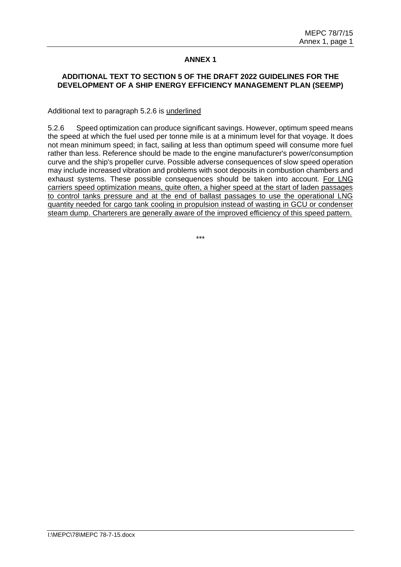## **ANNEX 1**

#### **ADDITIONAL TEXT TO SECTION 5 OF THE DRAFT 2022 GUIDELINES FOR THE DEVELOPMENT OF A SHIP ENERGY EFFICIENCY MANAGEMENT PLAN (SEEMP)**

Additional text to paragraph 5.2.6 is underlined

5.2.6 Speed optimization can produce significant savings. However, optimum speed means the speed at which the fuel used per tonne mile is at a minimum level for that voyage. It does not mean minimum speed; in fact, sailing at less than optimum speed will consume more fuel rather than less. Reference should be made to the engine manufacturer's power/consumption curve and the ship's propeller curve. Possible adverse consequences of slow speed operation may include increased vibration and problems with soot deposits in combustion chambers and exhaust systems. These possible consequences should be taken into account*.* For LNG carriers speed optimization means, quite often, a higher speed at the start of laden passages to control tanks pressure and at the end of ballast passages to use the operational LNG quantity needed for cargo tank cooling in propulsion instead of wasting in GCU or condenser steam dump. Charterers are generally aware of the improved efficiency of this speed pattern.

\*\*\*